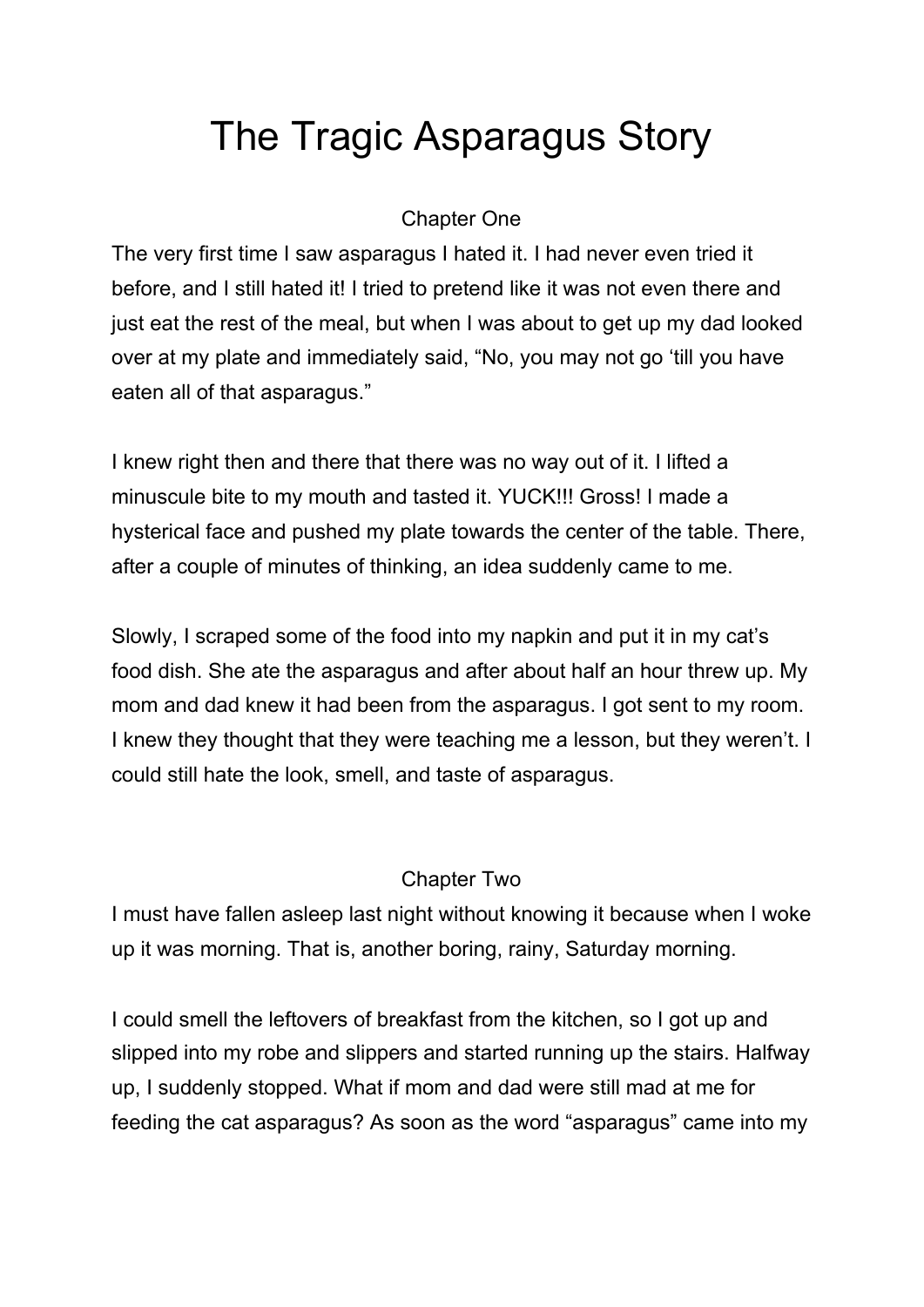# The Tragic Asparagus Story

## Chapter One

The very first time I saw asparagus I hated it. I had never even tried it before, and I still hated it! I tried to pretend like it was not even there and just eat the rest of the meal, but when I was about to get up my dad looked over at my plate and immediately said, "No, you may not go 'till you have eaten all of that asparagus."

I knew right then and there that there was no way out of it. I lifted a minuscule bite to my mouth and tasted it. YUCK!!! Gross! I made a hysterical face and pushed my plate towards the center of the table. There, after a couple of minutes of thinking, an idea suddenly came to me.

Slowly, I scraped some of the food into my napkin and put it in my cat's food dish. She ate the asparagus and after about half an hour threw up. My mom and dad knew it had been from the asparagus. I got sent to my room. I knew they thought that they were teaching me a lesson, but they weren't. I could still hate the look, smell, and taste of asparagus.

# Chapter Two

I must have fallen asleep last night without knowing it because when I woke up it was morning. That is, another boring, rainy, Saturday morning.

I could smell the leftovers of breakfast from the kitchen, so I got up and slipped into my robe and slippers and started running up the stairs. Halfway up, I suddenly stopped. What if mom and dad were still mad at me for feeding the cat asparagus? As soon as the word "asparagus" came into my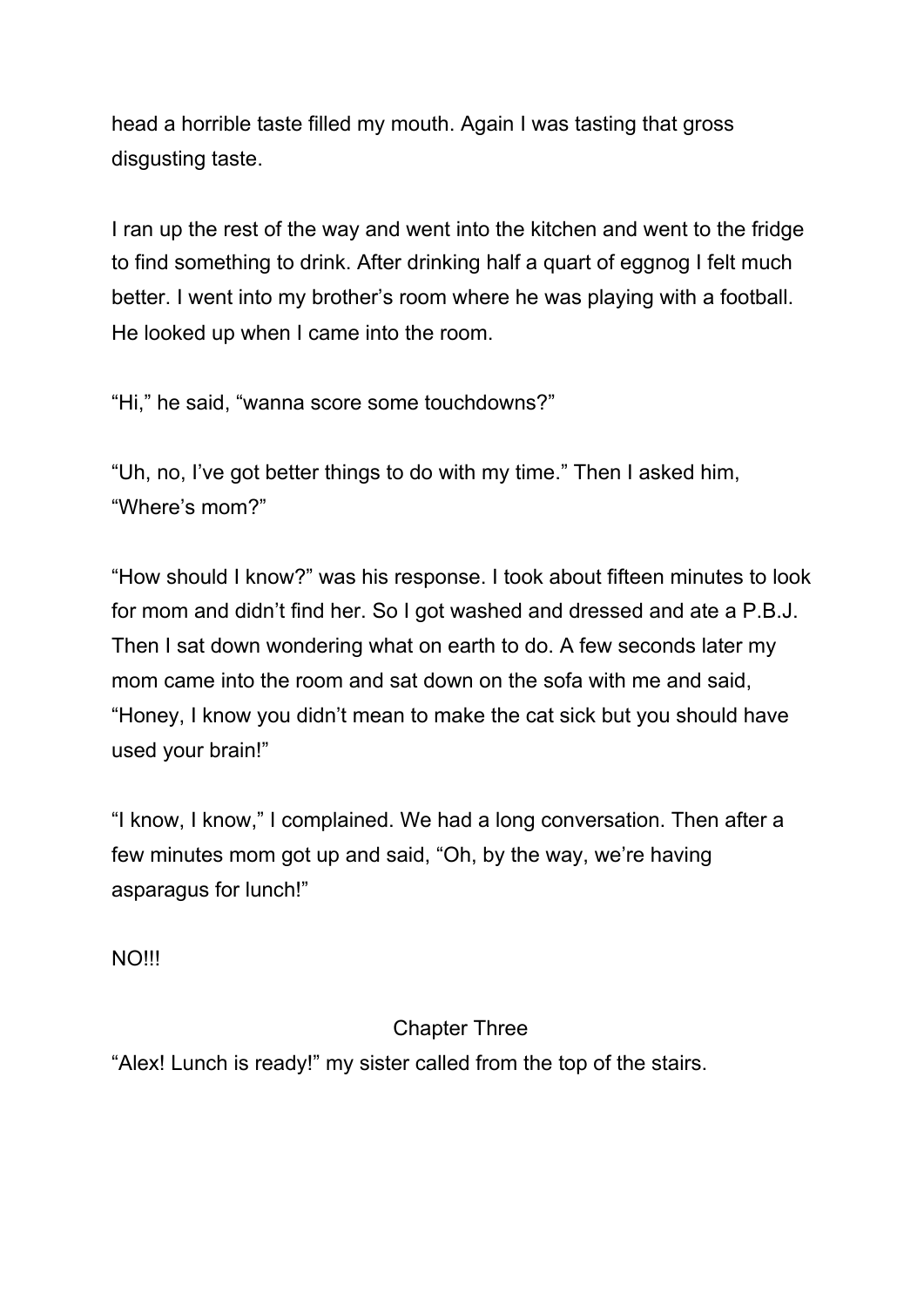head a horrible taste filled my mouth. Again I was tasting that gross disgusting taste.

I ran up the rest of the way and went into the kitchen and went to the fridge to find something to drink. After drinking half a quart of eggnog I felt much better. I went into my brother's room where he was playing with a football. He looked up when I came into the room.

"Hi," he said, "wanna score some touchdowns?"

"Uh, no, I've got better things to do with my time." Then I asked him, "Where's mom?"

"How should I know?" was his response. I took about fifteen minutes to look for mom and didn't find her. So I got washed and dressed and ate a P.B.J. Then I sat down wondering what on earth to do. A few seconds later my mom came into the room and sat down on the sofa with me and said, "Honey, I know you didn't mean to make the cat sick but you should have used your brain!"

"I know, I know," I complained. We had a long conversation. Then after a few minutes mom got up and said, "Oh, by the way, we're having asparagus for lunch!"

NO!!!

# Chapter Three

"Alex! Lunch is ready!" my sister called from the top of the stairs.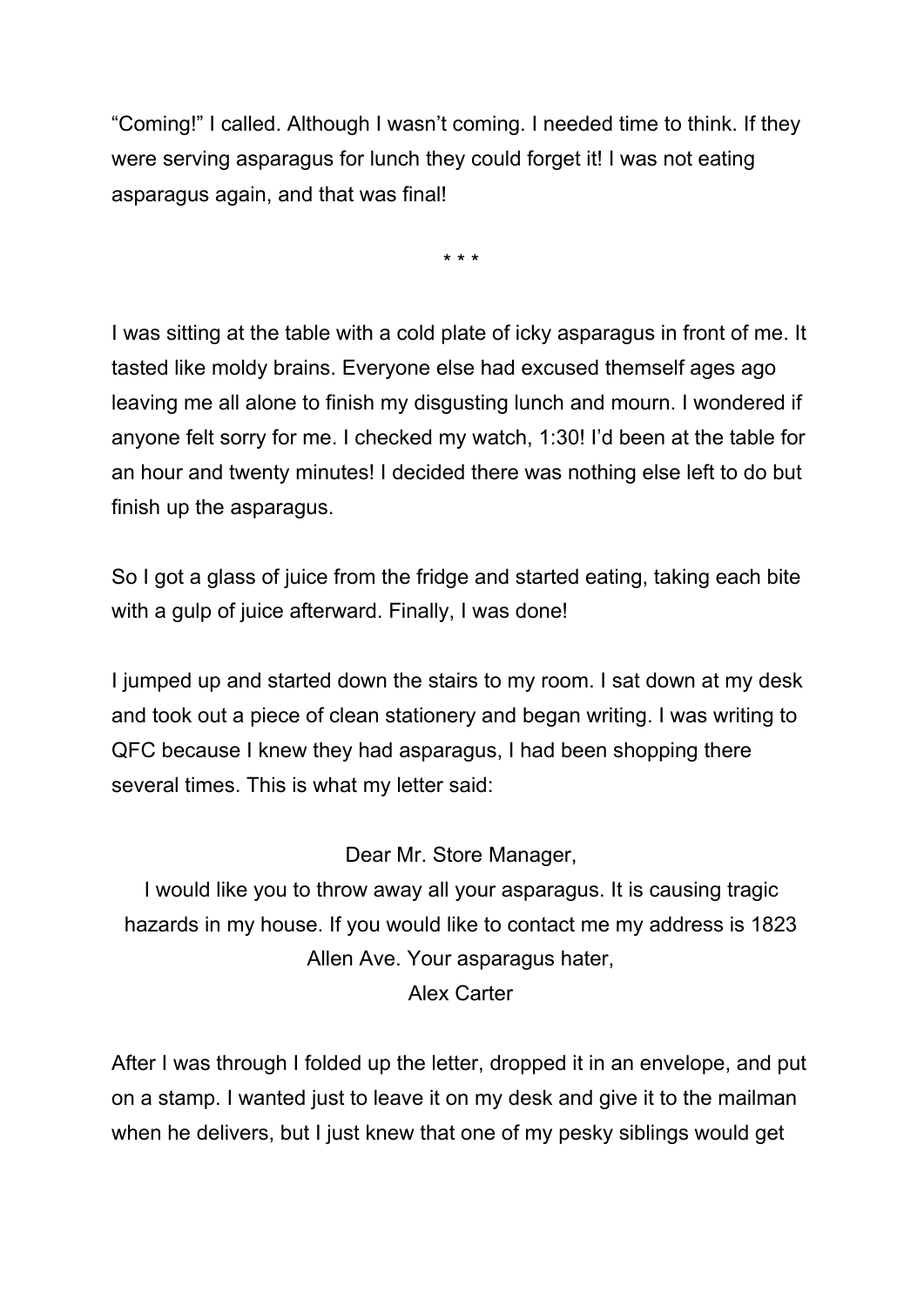"Coming!" I called. Although I wasn't coming. I needed time to think. If they were serving asparagus for lunch they could forget it! I was not eating asparagus again, and that was final!

\* \* \*

I was sitting at the table with a cold plate of icky asparagus in front of me. It tasted like moldy brains. Everyone else had excused themself ages ago leaving me all alone to finish my disgusting lunch and mourn. I wondered if anyone felt sorry for me. I checked my watch, 1:30! I'd been at the table for an hour and twenty minutes! I decided there was nothing else left to do but finish up the asparagus.

So I got a glass of juice from the fridge and started eating, taking each bite with a gulp of juice afterward. Finally, I was done!

I jumped up and started down the stairs to my room. I sat down at my desk and took out a piece of clean stationery and began writing. I was writing to QFC because I knew they had asparagus, I had been shopping there several times. This is what my letter said:

#### Dear Mr. Store Manager,

I would like you to throw away all your asparagus. It is causing tragic hazards in my house. If you would like to contact me my address is 1823 Allen Ave. Your asparagus hater, Alex Carter

After I was through I folded up the letter, dropped it in an envelope, and put on a stamp. I wanted just to leave it on my desk and give it to the mailman when he delivers, but I just knew that one of my pesky siblings would get